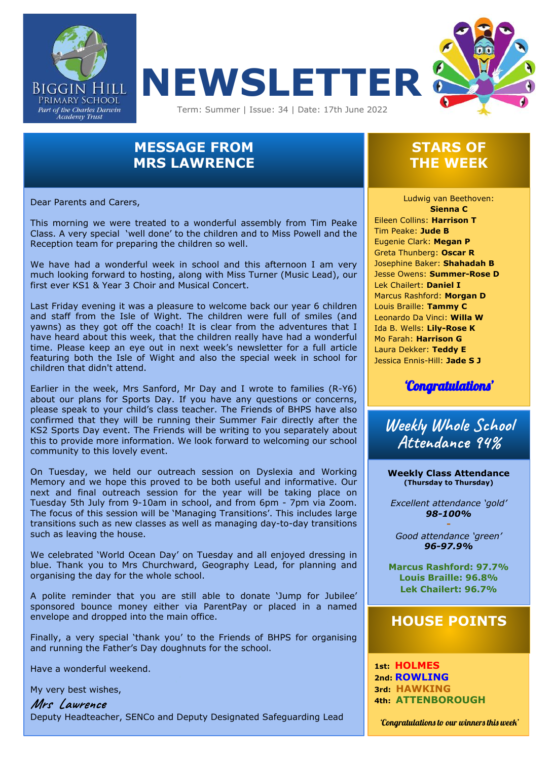



# **MESSAGE FROM MRS LAWRENCE**

Dear Parents and Carers,

 Class. A very special 'well done' to the children and to Miss Powell and the This morning we were treated to a wonderful assembly from Tim Peake Reception team for preparing the children so well.

We have had a wonderful week in school and this afternoon I am very much looking forward to hosting, along with Miss Turner (Music Lead), our first ever KS1 & Year 3 Choir and Musical Concert.

Last Friday evening it was a pleasure to welcome back our year 6 children and staff from the Isle of Wight. The children were full of smiles (and yawns) as they got off the coach! It is clear from the adventures that I have heard about this week, that the children really have had a wonderful time. Please keep an eye out in next week's newsletter for a full article featuring both the Isle of Wight and also the special week in school for children that didn't attend.

Earlier in the week, Mrs Sanford, Mr Day and I wrote to families (R-Y6) about our plans for Sports Day. If you have any questions or concerns, please speak to your child's class teacher. The Friends of BHPS have also confirmed that they will be running their Summer Fair directly after the KS2 Sports Day event. The Friends will be writing to you separately about this to provide more information. We look forward to welcoming our school community to this lovely event.

On Tuesday, we held our outreach session on Dyslexia and Working Memory and we hope this proved to be both useful and informative. Our next and final outreach session for the year will be taking place on Tuesday 5th July from 9-10am in school, and from 6pm - 7pm via Zoom. The focus of this session will be 'Managing Transitions'. This includes large transitions such as new classes as well as managing day-to-day transitions such as leaving the house.

We celebrated 'World Ocean Day' on Tuesday and all enjoyed dressing in blue. Thank you to Mrs Churchward, Geography Lead, for planning and organising the day for the whole school.

A polite reminder that you are still able to donate 'Jump for Jubilee' sponsored bounce money either via ParentPay or placed in a named envelope and dropped into the main office.

Finally, a very special 'thank you' to the Friends of BHPS for organising and running the Father's Day doughnuts for the school.

Have a wonderful weekend.

My very best wishes,

**Mrs Lawrence** Deputy Headteacher, SENCo and Deputy Designated Safeguarding Lead

## **STARS OF THE WEEK**

 Lek Chailert: **Daniel I** Ludwig van Beethoven: **Sienna C** Eileen Collins: **Harrison T** Tim Peake: **Jude B** Eugenie Clark: **Megan P** Greta Thunberg: **Oscar R** Josephine Baker: **Shahadah B** Jesse Owens: **Summer-Rose D** Marcus Rashford: **Morgan D** Louis Braille: **Tammy C** Leonardo Da Vinci: **Willa W** Ida B. Wells: **Lily-Rose K** Mo Farah: **Harrison G** Laura Dekker: **Teddy E** Jessica Ennis-Hill: **Jade S J**



**Weekly Whole School Attendance 94%**

**Weekly Class Attendance (Thursday to Thursday)**

*Excellent attendance 'gold' 98-100%*

**-**  *Good attendance 'green' 96-97.9%*

**Marcus Rashford: 97.7% Louis Braille: 96.8% Lek Chailert: 96.7%**

## **HOUSE POINTS**

**1st: HOLMES 2nd: ROWLING 3rd: HAWKING 4th: ATTENBOROUGH**

'Congratulations to our winners this week'